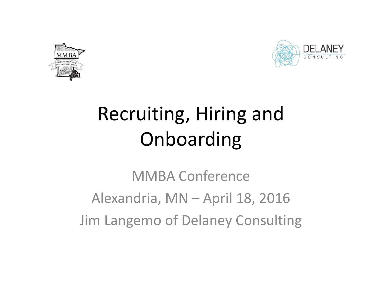



# Recruiting, Hiring and Onboarding

MMBA Conference Alexandria, MN – April 18, 2016 Jim Langemo of Delaney Consulting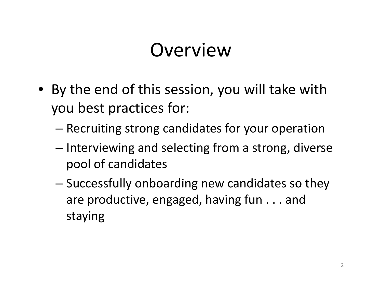#### **Overview**

- By the end of this session, you will take with you best practices for:
	- –Recruiting strong candidates for your operation
	- – $-$  Interviewing and selecting from a strong, diverse pool of candidates
	- Successfully onboarding new candidates so they are productive, engaged, having fun . . . and staying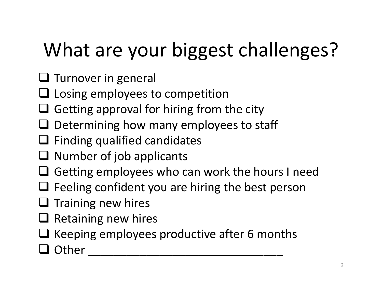# What are your biggest challenges?

- $\square$  Turnover in general
- $\square$  Losing employees to competition
- $\Box$  Getting approval for hiring from the city
- $\square$  Determining how many employees to staff
- $\Box$  Finding qualified candidates
- $\Box$  Number of job applicants
- $\square$  Getting employees who can work the hours I need
- $\Box$  Feeling confident you are hiring the best person
- $\square$  Training new hires
- $\square$  Retaining new hires
- $\Box$  Keeping employees productive after 6 months

\_\_\_\_\_\_\_\_\_\_\_\_\_\_\_\_\_\_\_\_\_\_\_\_\_\_\_\_\_\_

Q Other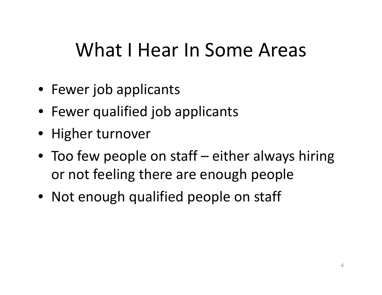### What I Hear In Some Areas

- Fewer job applicants
- Fewer qualified job applicants
- Higher turnover
- Too few people on staff either always hiring or not feeling there are enough people
- Not enough qualified people on staff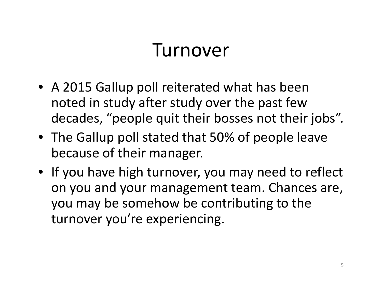#### Turnover

- A 2015 Gallup poll reiterated what has been noted in study after study over the past few decades, "people quit their bosses not their jobs".
- The Gallup poll stated that 50% of people leave because of their manager.
- If you have high turnover, you may need to reflect on you and your management team. Chances are, you may be somehow be contributing to the turnover you're experiencing.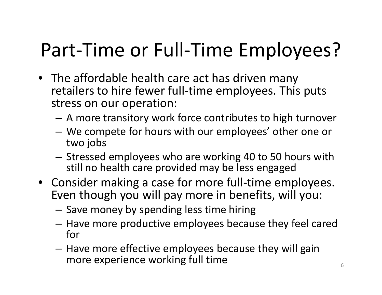## Part‐Time or Full‐Time Employees?

- The affordable health care act has driven many retailers to hire fewer full‐time employees. This puts stress on our operation:
	- A more transitory work force contributes to high turnover
	- – We compete for hours with our employees' other one or two jobs
	- $-$  Stressed employees who are working 40 to 50 hours with still no health care provided may be less engaged
- Consider making <sup>a</sup> case for more full‐time employees. Even though you will pay more in benefits, will you:
	- – $-$  Save money by spending less time hiring
	- $-$  Have more productive employees because they feel cared for
	- $-$  Have more effective employees because they will gain more experience working full time  $\overline{\phantom{0}}$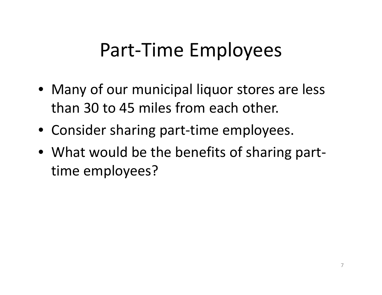#### Part‐Time Employees

- Many of our municipal liquor stores are less than 30 to 45 miles from each other.
- Consider sharing part‐time employees.
- What would be the benefits of sharing part‐ time employees?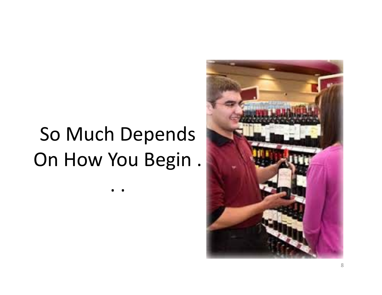# So Much Depends On How You Begin .

..

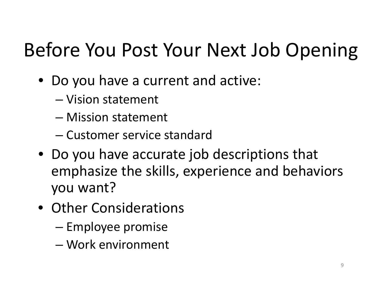## Before You Post Your Next Job Opening

- Do you have <sup>a</sup> current and active:
	- Vision statement
	- Mission statement
	- Customer service standard
- Do you have accurate job descriptions that emphasize the skills, experience and behaviors you want?
- Other Considerations
	- –— Employee promise
	- Work environment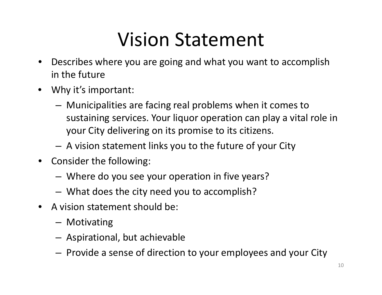## Vision Statement

- $\bullet$  Describes where you are going and what you want to accomplish in the future
- Why it's important:
	- – Municipalities are facing real problems when it comes to sustaining services. Your liquor operation can play <sup>a</sup> vital role in your City delivering on its promise to its citizens.
	- A vision statement links you to the future of your City
- Consider the following:
	- –Where do you see your operation in five years?
	- –What does the city need you to accomplish?
- A vision statement should be:
	- Motivating
	- –Aspirational, but achievable
	- – $-$  Provide a sense of direction to your employees and your City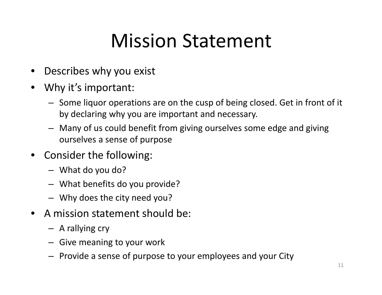## Mission Statement

- •Describes why you exist
- • Why it's important:
	- Some liquor operations are on the cusp of being closed. Get in front of it by declaring why you are important and necessary.
	- Many of us could benefit from giving ourselves some edge and giving ourselves a sense of purpose
- Consider the following:
	- What do you do?
	- What benefits do you provide?
	- Why does the city need you?
- •• A mission statement should be:
	- A rallying cry
	- Give meaning to your work
	- Provide <sup>a</sup> sense of purpose to your employees and your City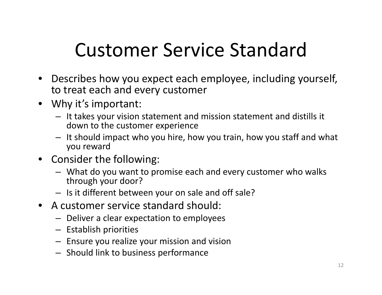## Customer Service Standard

- Describes how you expect each employee, including yourself, to treat each and every customer
- Why it's important:
	- It takes your vision statement and mission statement and distills it down to the customer experience
	- It should impact who you hire, how you train, how you staff and what you reward
- Consider the following:
	- What do you want to promise each and every customer who walks through your door?
	- Is it different between your on sale and off sale?
- A customer service standard should:
	- Deliver <sup>a</sup> clear expectation to employees
	- Establish priorities
	- Ensure you realize your mission and vision
	- Should link to business performance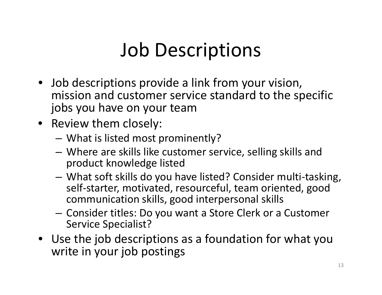## Job Descriptions

- Job descriptions provide <sup>a</sup> link from your vision, mission and customer service standard to the specific jobs you have on your team
- Review them closely:
	- What is listed most prominently?
	- Where are skills like customer service, selling skills and product knowledge listed
	- What soft skills do you have listed? Consider multi‐tasking, self‐starter, motivated, resourceful, team oriented, good communication skills, good interpersonal skills
	- $-$  Consider titles: Do you want a Store Clerk or a Customer Service Specialist?
- Use the job descriptions as <sup>a</sup> foundation for what you write in your job postings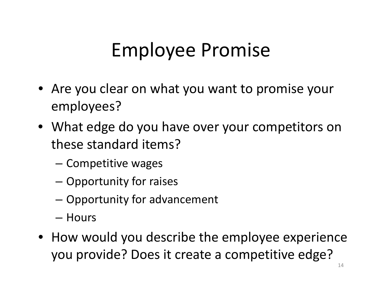## Employee Promise

- Are you clear on what you want to promise your employees?
- What edge do you have over your competitors on these standard items?
	- –— Competitive wages
	- –Opportunity for raises
	- –Opportunity for advancement
	- Hours
- How would you describe the employee experience you provide? Does it create <sup>a</sup> competitive edge?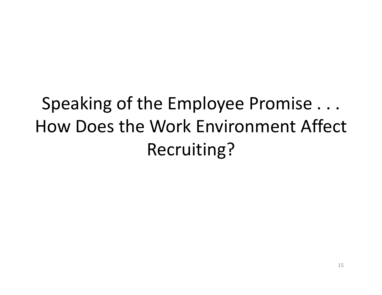## Speaking of the Employee Promise . . . How Does the Work Environment Affect Recruiting?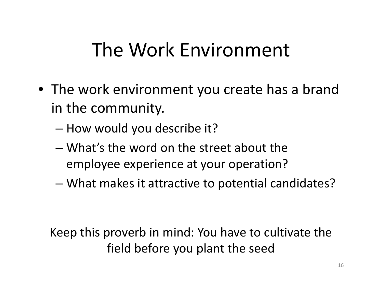## The Work Environment

- The work environment you create has <sup>a</sup> brand in the community.
	- How would you describe it?
	- What's the word on the street about the employee experience at your operation?
	- What makes it attractive to potential candidates?

Keep this proverb in mind: You have to cultivate the field before you plant the seed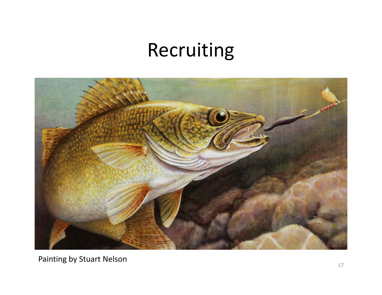#### Recruiting



Painting by Stuart Nelson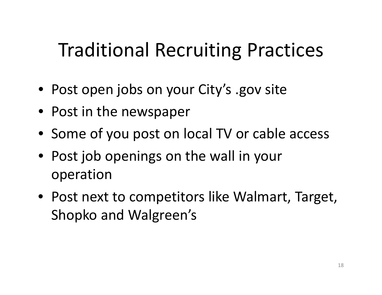## Traditional Recruiting Practices

- Post open jobs on your City's .gov site
- Post in the newspaper
- Some of you post on local TV or cable access
- Post job openings on the wall in your operation
- Post next to competitors like Walmart, Target, Shopko and Walgreen's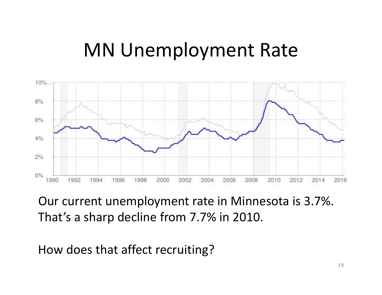#### MN Unemployment Rate



Our current unemployment rate in Minnesota is 3.7%. That's a sharp decline from 7.7% in 2010.

How does that affect recruiting?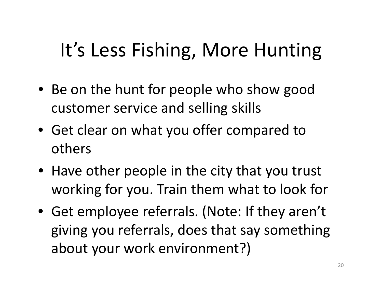## It's Less Fishing, More Hunting

- Be on the hunt for people who show good customer service and selling skills
- Get clear on what you offer compared to others
- Have other people in the city that you trust working for you. Train them what to look for
- Get employee referrals. (Note: If they aren't giving you referrals, does that say something about your work environment?)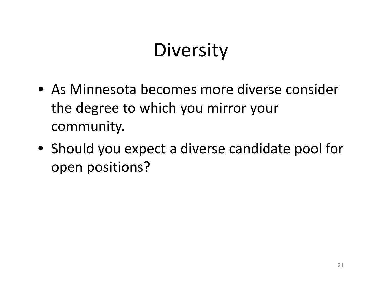## **Diversity**

- As Minnesota becomes more diverse consider the degree to which you mirror your community.
- Should you expect <sup>a</sup> diverse candidate pool for open positions?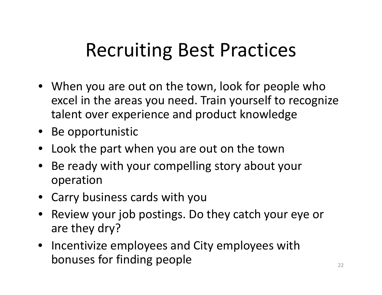## Recruiting Best Practices

- When you are out on the town, look for people who excel in the areas you need. Train yourself to recognize talent over experience and product knowledge
- Be opportunistic
- •Look the part when you are out on the town
- Be ready with your compelling story about your operation
- Carry business cards with you
- Review your job postings. Do they catch your eye or are they dry?
- Incentivize employees and City employees with bonuses for finding people  $\sum_{22}$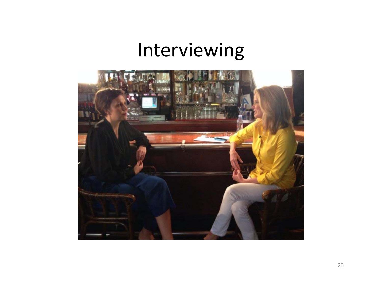#### Interviewing

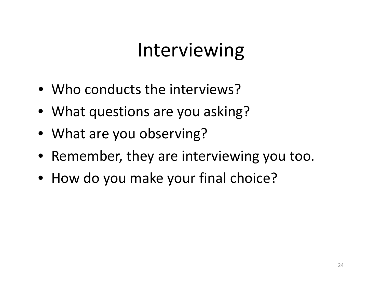## Interviewing

- Who conducts the interviews?
- What questions are you asking?
- What are you observing?
- Remember, they are interviewing you too.
- How do you make your final choice?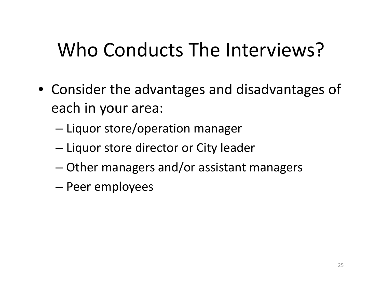## Who Conducts The Interviews?

- Consider the advantages and disadvantages of each in your area:
	- –— Liquor store/operation manager
	- –— Liquor store director or City leader
	- –Other managers and/or assistant managers
	- Peer employees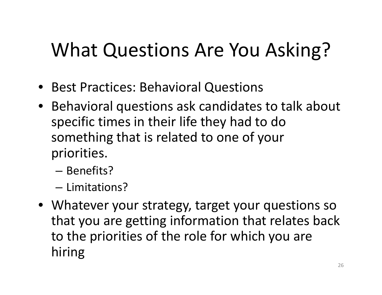## What Questions Are You Asking?

- Best Practices: Behavioral Questions
- Behavioral questions ask candidates to talk about specific times in their life they had to do something that is related to one of your priorities.
	- Benefits?
	- Limitations?
- Whatever your strategy, target your questions so that you are getting information that relates back to the priorities of the role for which you are hiring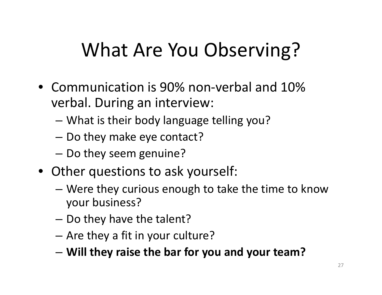## What Are You Observing?

- Communication is 90% non‐verbal and 10% verbal. During an interview:
	- –What is their body language telling you?
	- – $-$  Do they make eye contact?
	- – $-$  Do they seem genuine?
- Other questions to ask yourself:
	- – Were they curious enough to take the time to know your business?
	- –– Do they have the talent?
	- –Are they <sup>a</sup> fit in your culture?
	- –**Will they raise the bar for you and your team?**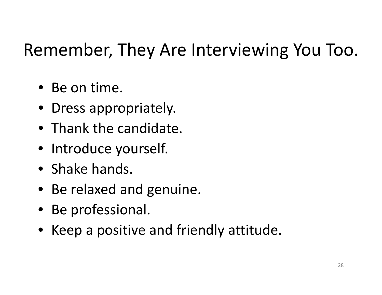#### Remember, They Are Interviewing You Too.

- Be on time.
- Dress appropriately.
- Thank the candidate.
- Introduce yourself.
- Shake hands.
- Be relaxed and genuine.
- Be professional.
- Keep <sup>a</sup> positive and friendly attitude.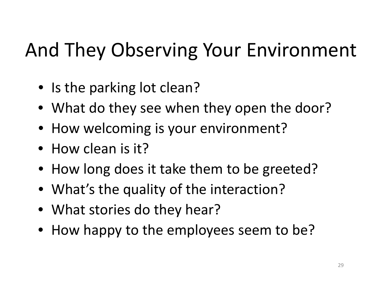# And They Observing Your Environment

- Is the parking lot clean?
- What do they see when they open the door?
- How welcoming is your environment?
- How clean is it?
- How long does it take them to be greeted?
- What's the quality of the interaction?
- What stories do they hear?
- How happy to the employees seem to be?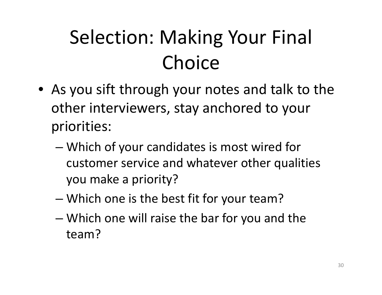# Selection: Making Your Final Choice

- As you sift through your notes and talk to the other interviewers, stay anchored to your priorities:
	- Which of your candidates is most wired for customer service and whatever other qualities you make <sup>a</sup> priority?
	- –Which one is the best fit for your team?
	- Which one will raise the bar for you and the team?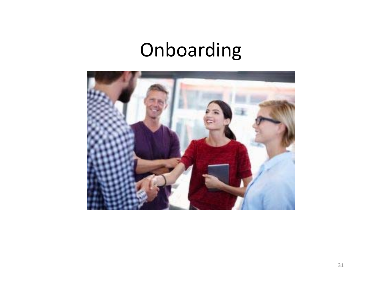## Onboarding

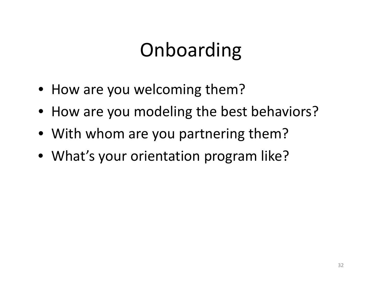## Onboarding

- How are you welcoming them?
- How are you modeling the best behaviors?
- With whom are you partnering them?
- What's your orientation program like?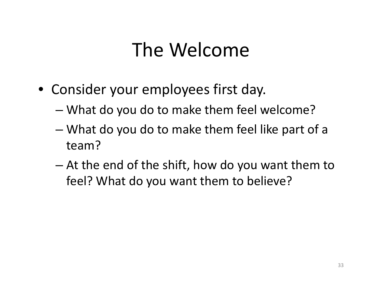### The Welcome

- Consider your employees first day.
	- –What do you do to make them feel welcome?
	- – What do you do to make them feel like part of <sup>a</sup> team?
	- At the end of the shift, how do you want them to feel? What do you want them to believe?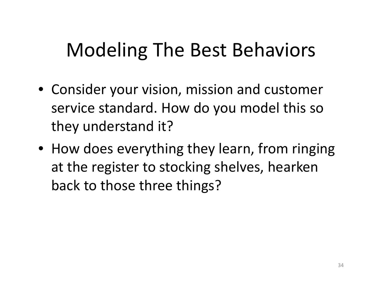## Modeling The Best Behaviors

- Consider your vision, mission and customer service standard. How do you model this so they understand it?
- How does everything they learn, from ringing at the register to stocking shelves, hearken back to those three things?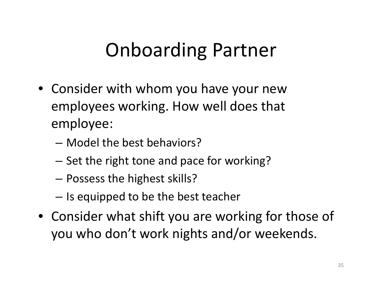## Onboarding Partner

- Consider with whom you have your new employees working. How well does that employee:
	- Model the best behaviors?
	- –– Set the right tone and pace for working?
	- –Possess the highest skills?
	- – $-$  Is equipped to be the best teacher
- Consider what shift you are working for those of you who don't work nights and/or weekends.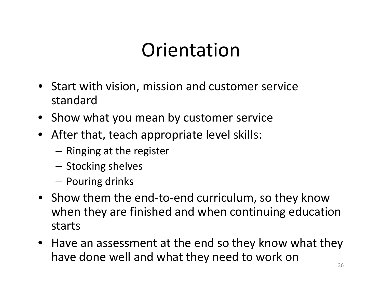#### **Orientation**

- Start with vision, mission and customer service standard
- Show what you mean by customer service
- After that, teach appropriate level skills:
	- – $-$  Ringing at the register
	- $-$  Stocking shelves
	- Pouring drinks
- Show them the end‐to‐end curriculum, so they know when they are finished and when continuing education starts
- Have an assessment at the end so they know what they have done well and what they need to work on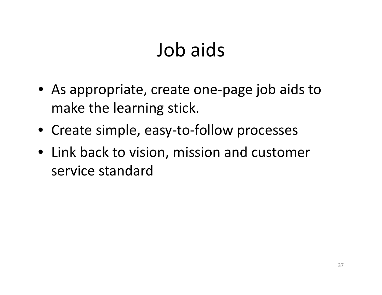### Job aids

- As appropriate, create one‐page job aids to make the learning stick.
- Create simple, easy‐to‐follow processes
- Link back to vision, mission and customer service standard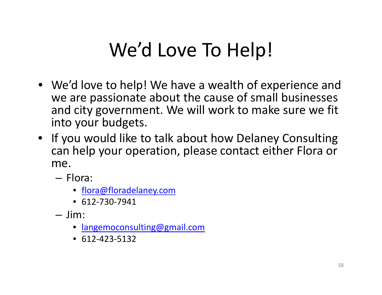## We'd Love To Help!

- We'd love to help! We have <sup>a</sup> wealth of experience and we are passionate about the cause of small businesses and city government. We will work to make sure we fit into your budgets.
- If you would like to talk about how Delaney Consulting can help your operation, please contact either Flora or me.
	- Flora:
		- flora@floradelaney.com
		- 612‐730‐7941
	- Jim:
		- $\bullet$ langemoconsulting@gmail.com
		- 612‐423‐5132